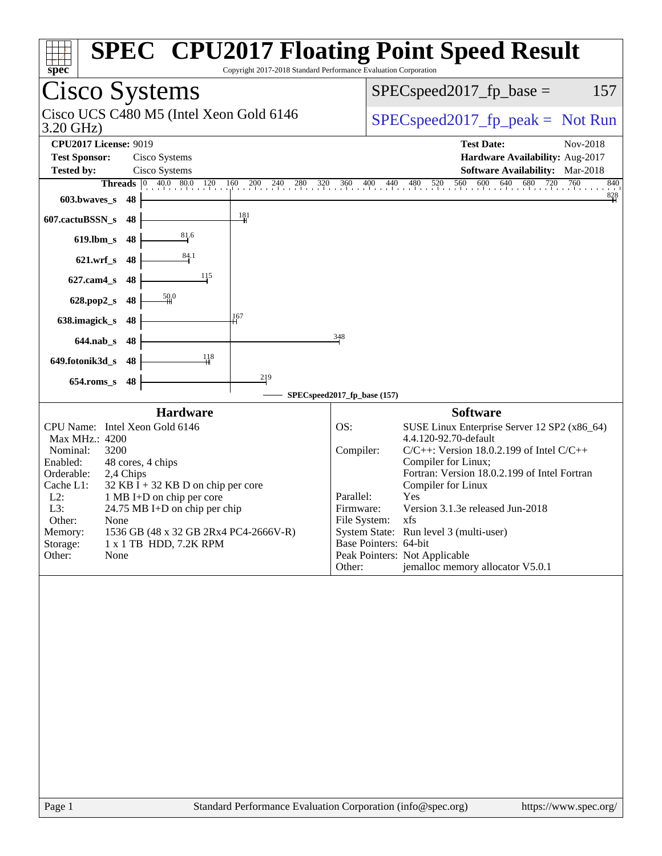| spec<br>Copyright 2017-2018 Standard Performance Evaluation Corporation                                                                                                                                                                                                                                                                                                                                               | <b>SPEC<sup>®</sup></b> CPU2017 Floating Point Speed Result                                                                                                                                                                                                                                                                                                                                                                                                                                           |
|-----------------------------------------------------------------------------------------------------------------------------------------------------------------------------------------------------------------------------------------------------------------------------------------------------------------------------------------------------------------------------------------------------------------------|-------------------------------------------------------------------------------------------------------------------------------------------------------------------------------------------------------------------------------------------------------------------------------------------------------------------------------------------------------------------------------------------------------------------------------------------------------------------------------------------------------|
| Cisco Systems                                                                                                                                                                                                                                                                                                                                                                                                         | 157<br>$SPEC speed2017fp base =$                                                                                                                                                                                                                                                                                                                                                                                                                                                                      |
| Cisco UCS C480 M5 (Intel Xeon Gold 6146<br>3.20 GHz)                                                                                                                                                                                                                                                                                                                                                                  | $SPEC speed2017rfp peak = Not Run$                                                                                                                                                                                                                                                                                                                                                                                                                                                                    |
| <b>CPU2017 License: 9019</b><br><b>Test Sponsor:</b><br>Cisco Systems<br><b>Tested by:</b><br>Cisco Systems                                                                                                                                                                                                                                                                                                           | <b>Test Date:</b><br>Nov-2018<br>Hardware Availability: Aug-2017<br>Software Availability: Mar-2018                                                                                                                                                                                                                                                                                                                                                                                                   |
| $40.0 \t80.0 \t120 \t160 \t200 \t240$<br>Threads $ 0 $<br>603.bwaves_s<br>-48                                                                                                                                                                                                                                                                                                                                         | 280 320 360 400 440 480 520 560 600 640 680 720<br>760<br>840<br>828                                                                                                                                                                                                                                                                                                                                                                                                                                  |
| $\frac{181}{1}$<br>607.cactuBSSN_s<br>48<br>81.6<br>$619$ .lbm_s<br>48                                                                                                                                                                                                                                                                                                                                                |                                                                                                                                                                                                                                                                                                                                                                                                                                                                                                       |
| 84.1<br>$621.wrf$ <sub>S</sub><br>48<br>115<br>$627$ .cam $4_s$<br>48                                                                                                                                                                                                                                                                                                                                                 |                                                                                                                                                                                                                                                                                                                                                                                                                                                                                                       |
| 50,0<br>628.pop2_s<br>48<br>167<br>638.imagick_s<br>48                                                                                                                                                                                                                                                                                                                                                                |                                                                                                                                                                                                                                                                                                                                                                                                                                                                                                       |
| $644$ .nab_s<br>48<br>118                                                                                                                                                                                                                                                                                                                                                                                             | 348                                                                                                                                                                                                                                                                                                                                                                                                                                                                                                   |
| 649.fotonik3d_s<br>48<br>219<br>$654$ .roms_s<br>48                                                                                                                                                                                                                                                                                                                                                                   | SPECspeed2017_fp_base (157)                                                                                                                                                                                                                                                                                                                                                                                                                                                                           |
| <b>Hardware</b><br>CPU Name: Intel Xeon Gold 6146<br>Max MHz.: 4200<br>Nominal:<br>3200<br>Enabled:<br>48 cores, 4 chips<br>Orderable:<br>2,4 Chips<br>Cache L1:<br>$32$ KB I + 32 KB D on chip per core<br>$L2$ :<br>1 MB I+D on chip per core<br>L3:<br>24.75 MB I+D on chip per chip<br>Other:<br>None<br>1536 GB (48 x 32 GB 2Rx4 PC4-2666V-R)<br>Memory:<br>Storage:<br>1 x 1 TB HDD, 7.2K RPM<br>Other:<br>None | <b>Software</b><br>OS:<br>SUSE Linux Enterprise Server 12 SP2 (x86_64)<br>4.4.120-92.70-default<br>Compiler:<br>$C/C++$ : Version 18.0.2.199 of Intel $C/C++$<br>Compiler for Linux;<br>Fortran: Version 18.0.2.199 of Intel Fortran<br>Compiler for Linux<br>Parallel:<br>Yes<br>Version 3.1.3e released Jun-2018<br>Firmware:<br>File System: xfs<br>System State: Run level 3 (multi-user)<br>Base Pointers: 64-bit<br>Peak Pointers: Not Applicable<br>jemalloc memory allocator V5.0.1<br>Other: |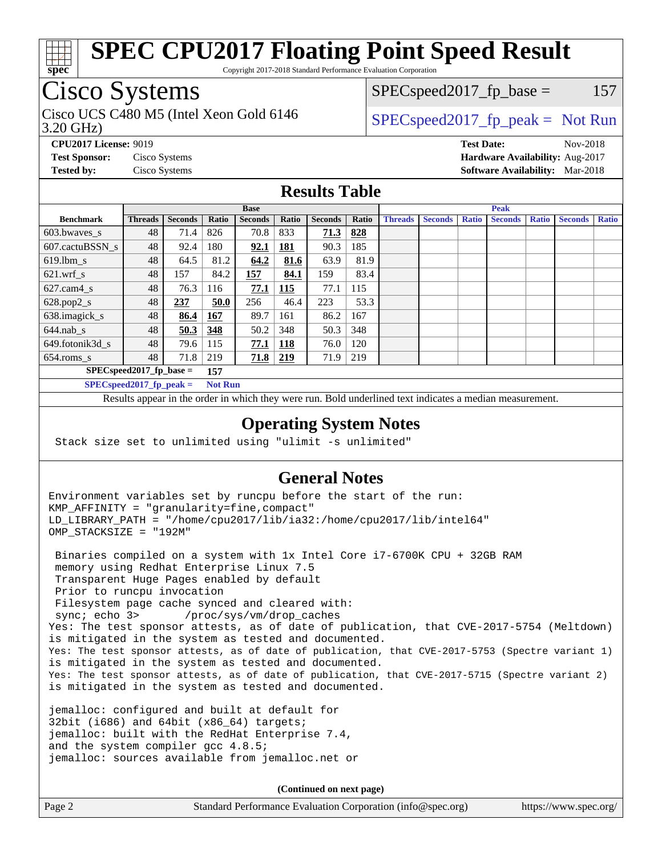

Copyright 2017-2018 Standard Performance Evaluation Corporation

### Cisco Systems

3.20 GHz) Cisco UCS C480 M5 (Intel Xeon Gold 6146  $\vert$  [SPECspeed2017\\_fp\\_peak =](http://www.spec.org/auto/cpu2017/Docs/result-fields.html#SPECspeed2017fppeak) Not Run

 $SPEC speed2017_fp\_base = 157$ 

**[CPU2017 License:](http://www.spec.org/auto/cpu2017/Docs/result-fields.html#CPU2017License)** 9019 **[Test Date:](http://www.spec.org/auto/cpu2017/Docs/result-fields.html#TestDate)** Nov-2018 **[Test Sponsor:](http://www.spec.org/auto/cpu2017/Docs/result-fields.html#TestSponsor)** Cisco Systems **[Hardware Availability:](http://www.spec.org/auto/cpu2017/Docs/result-fields.html#HardwareAvailability)** Aug-2017 **[Tested by:](http://www.spec.org/auto/cpu2017/Docs/result-fields.html#Testedby)** Cisco Systems **[Software Availability:](http://www.spec.org/auto/cpu2017/Docs/result-fields.html#SoftwareAvailability)** Mar-2018

#### **[Results Table](http://www.spec.org/auto/cpu2017/Docs/result-fields.html#ResultsTable)**

|                                   | <b>Base</b>    |                |                |                | <b>Peak</b> |                |       |                |                |              |                |              |                |              |
|-----------------------------------|----------------|----------------|----------------|----------------|-------------|----------------|-------|----------------|----------------|--------------|----------------|--------------|----------------|--------------|
| <b>Benchmark</b>                  | <b>Threads</b> | <b>Seconds</b> | Ratio          | <b>Seconds</b> | Ratio       | <b>Seconds</b> | Ratio | <b>Threads</b> | <b>Seconds</b> | <b>Ratio</b> | <b>Seconds</b> | <b>Ratio</b> | <b>Seconds</b> | <b>Ratio</b> |
| 603.bwayes s                      | 48             | 71.4           | 826            | 70.8           | 833         | 71.3           | 828   |                |                |              |                |              |                |              |
| 607.cactuBSSN s                   | 48             | 92.4           | 180            | 92.1           | <u>181</u>  | 90.3           | 185   |                |                |              |                |              |                |              |
| $619.$ lbm s                      | 48             | 64.5           | 81.2           | 64.2           | 81.6        | 63.9           | 81.9  |                |                |              |                |              |                |              |
| $621.wrf$ s                       | 48             | 157            | 84.2           | 157            | 84.1        | 159            | 83.4  |                |                |              |                |              |                |              |
| $627$ .cam $4$ <sub>s</sub>       | 48             | 76.3           | 116            | 77.1           | 115         | 77.1           | 115   |                |                |              |                |              |                |              |
| $628.pop2_s$                      | 48             | 237            | 50.0           | 256            | 46.4        | 223            | 53.3  |                |                |              |                |              |                |              |
| 638.imagick_s                     | 48             | 86.4           | 167            | 89.7           | 161         | 86.2           | 167   |                |                |              |                |              |                |              |
| $644$ .nab s                      | 48             | 50.3           | 348            | 50.2           | 348         | 50.3           | 348   |                |                |              |                |              |                |              |
| 649.fotonik3d s                   | 48             | 79.6           | 115            | <u>77.1</u>    | <u>118</u>  | 76.0           | 120   |                |                |              |                |              |                |              |
| $654$ .roms s                     | 48             | 71.8           | 219            | 71.8           | 219         | 71.9           | 219   |                |                |              |                |              |                |              |
| $SPEC speed2017$ fp base =<br>157 |                |                |                |                |             |                |       |                |                |              |                |              |                |              |
| $SPECspeed2017_fp\_peak =$        |                |                | <b>Not Run</b> |                |             |                |       |                |                |              |                |              |                |              |

Results appear in the [order in which they were run.](http://www.spec.org/auto/cpu2017/Docs/result-fields.html#RunOrder) Bold underlined text [indicates a median measurement](http://www.spec.org/auto/cpu2017/Docs/result-fields.html#Median).

#### **[Operating System Notes](http://www.spec.org/auto/cpu2017/Docs/result-fields.html#OperatingSystemNotes)**

Stack size set to unlimited using "ulimit -s unlimited"

#### **[General Notes](http://www.spec.org/auto/cpu2017/Docs/result-fields.html#GeneralNotes)**

Environment variables set by runcpu before the start of the run: KMP\_AFFINITY = "granularity=fine,compact" LD\_LIBRARY\_PATH = "/home/cpu2017/lib/ia32:/home/cpu2017/lib/intel64" OMP\_STACKSIZE = "192M"

 Binaries compiled on a system with 1x Intel Core i7-6700K CPU + 32GB RAM memory using Redhat Enterprise Linux 7.5 Transparent Huge Pages enabled by default Prior to runcpu invocation Filesystem page cache synced and cleared with: sync; echo 3> /proc/sys/vm/drop\_caches Yes: The test sponsor attests, as of date of publication, that CVE-2017-5754 (Meltdown) is mitigated in the system as tested and documented. Yes: The test sponsor attests, as of date of publication, that CVE-2017-5753 (Spectre variant 1) is mitigated in the system as tested and documented. Yes: The test sponsor attests, as of date of publication, that CVE-2017-5715 (Spectre variant 2) is mitigated in the system as tested and documented.

jemalloc: configured and built at default for 32bit (i686) and 64bit (x86\_64) targets; jemalloc: built with the RedHat Enterprise 7.4, and the system compiler gcc 4.8.5; jemalloc: sources available from jemalloc.net or

**(Continued on next page)**

| Page 2 | Standard Performance Evaluation Corporation (info@spec.org) | https://www.spec.org/ |
|--------|-------------------------------------------------------------|-----------------------|
|--------|-------------------------------------------------------------|-----------------------|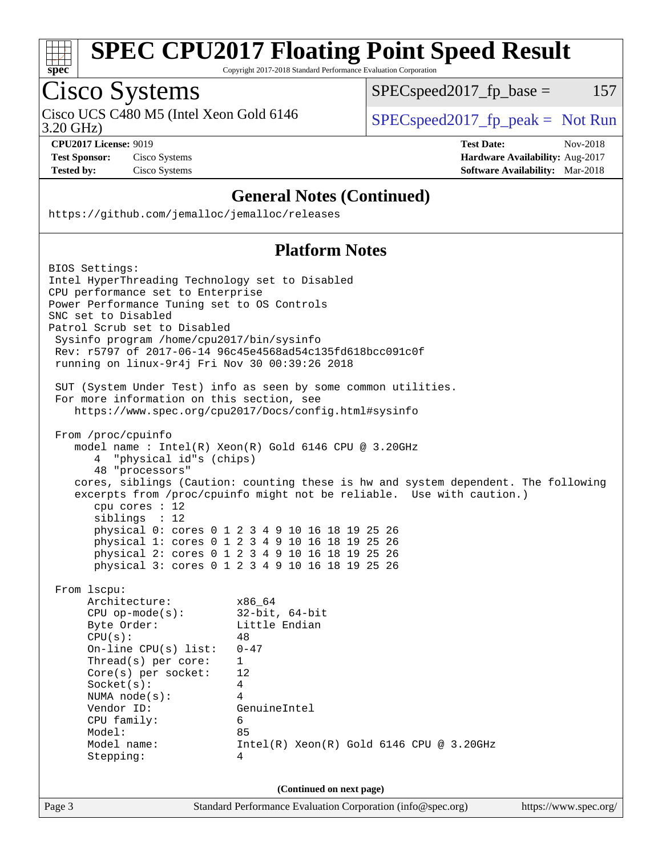

Copyright 2017-2018 Standard Performance Evaluation Corporation

### Cisco Systems

3.20 GHz) Cisco UCS C480 M5 (Intel Xeon Gold 6146  $\big|$  [SPECspeed2017\\_fp\\_peak =](http://www.spec.org/auto/cpu2017/Docs/result-fields.html#SPECspeed2017fppeak) Not Run

 $SPECspeed2017_fp\_base = 157$ 

**[CPU2017 License:](http://www.spec.org/auto/cpu2017/Docs/result-fields.html#CPU2017License)** 9019 **[Test Date:](http://www.spec.org/auto/cpu2017/Docs/result-fields.html#TestDate)** Nov-2018 **[Test Sponsor:](http://www.spec.org/auto/cpu2017/Docs/result-fields.html#TestSponsor)** Cisco Systems **[Hardware Availability:](http://www.spec.org/auto/cpu2017/Docs/result-fields.html#HardwareAvailability)** Aug-2017 **[Tested by:](http://www.spec.org/auto/cpu2017/Docs/result-fields.html#Testedby)** Cisco Systems **[Software Availability:](http://www.spec.org/auto/cpu2017/Docs/result-fields.html#SoftwareAvailability)** Mar-2018

#### **[General Notes \(Continued\)](http://www.spec.org/auto/cpu2017/Docs/result-fields.html#GeneralNotes)**

<https://github.com/jemalloc/jemalloc/releases>

### **[Platform Notes](http://www.spec.org/auto/cpu2017/Docs/result-fields.html#PlatformNotes)**

| Page 3                                          | Standard Performance Evaluation Corporation (info@spec.org)<br>https://www.spec.org/               |
|-------------------------------------------------|----------------------------------------------------------------------------------------------------|
|                                                 | (Continued on next page)                                                                           |
|                                                 |                                                                                                    |
| Stepping:                                       | 4                                                                                                  |
| Model name:                                     | $Intel(R)$ Xeon $(R)$ Gold 6146 CPU @ 3.20GHz                                                      |
| Model:                                          | 85                                                                                                 |
| CPU family:                                     | GenuineIntel<br>6                                                                                  |
| NUMA $node(s):$<br>Vendor ID:                   | 4                                                                                                  |
| Socket(s):                                      | 4                                                                                                  |
| $Core(s)$ per socket:                           | 12                                                                                                 |
| Thread(s) per core:                             | $\mathbf{1}$                                                                                       |
| On-line $CPU(s)$ list:                          | $0 - 47$                                                                                           |
| CPU(s):                                         | 48                                                                                                 |
| Byte Order:                                     | Little Endian                                                                                      |
| $CPU$ op-mode(s):                               | $32$ -bit, $64$ -bit                                                                               |
| Architecture:                                   | x86_64                                                                                             |
| From 1scpu:                                     |                                                                                                    |
|                                                 | physical 3: cores 0 1 2 3 4 9 10 16 18 19 25 26                                                    |
|                                                 | physical 1: cores 0 1 2 3 4 9 10 16 18 19 25 26<br>physical 2: cores 0 1 2 3 4 9 10 16 18 19 25 26 |
|                                                 | physical 0: cores 0 1 2 3 4 9 10 16 18 19 25 26                                                    |
| siblings : 12                                   |                                                                                                    |
| cpu cores $: 12$                                |                                                                                                    |
|                                                 | excerpts from /proc/cpuinfo might not be reliable. Use with caution.)                              |
|                                                 | cores, siblings (Caution: counting these is hw and system dependent. The following                 |
| 48 "processors"                                 |                                                                                                    |
| "physical id"s (chips)<br>4                     | model name : Intel(R) Xeon(R) Gold 6146 CPU @ 3.20GHz                                              |
| From /proc/cpuinfo                              |                                                                                                    |
|                                                 |                                                                                                    |
|                                                 | https://www.spec.org/cpu2017/Docs/config.html#sysinfo                                              |
| For more information on this section, see       |                                                                                                    |
|                                                 | SUT (System Under Test) info as seen by some common utilities.                                     |
|                                                 |                                                                                                    |
| running on linux-9r4j Fri Nov 30 00:39:26 2018  |                                                                                                    |
| Sysinfo program /home/cpu2017/bin/sysinfo       | Rev: r5797 of 2017-06-14 96c45e4568ad54c135fd618bcc091c0f                                          |
| Patrol Scrub set to Disabled                    |                                                                                                    |
| SNC set to Disabled                             |                                                                                                    |
| Power Performance Tuning set to OS Controls     |                                                                                                    |
| CPU performance set to Enterprise               |                                                                                                    |
| Intel HyperThreading Technology set to Disabled |                                                                                                    |
| BIOS Settings:                                  |                                                                                                    |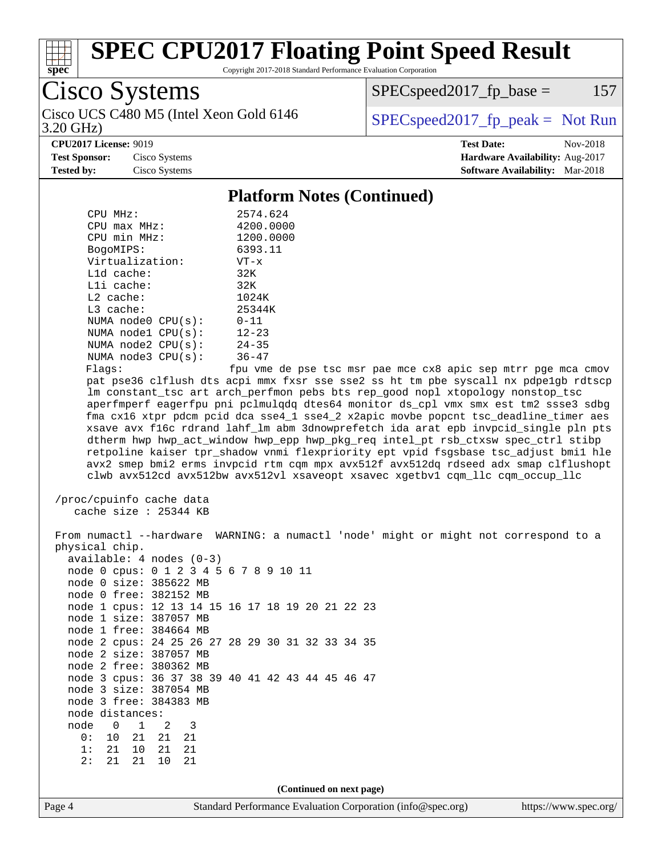

Copyright 2017-2018 Standard Performance Evaluation Corporation

# Cisco Systems

3.20 GHz) Cisco UCS C480 M5 (Intel Xeon Gold 6146  $\vert$  [SPECspeed2017\\_fp\\_peak =](http://www.spec.org/auto/cpu2017/Docs/result-fields.html#SPECspeed2017fppeak) Not Run

 $SPEC speed2017_fp\_base = 157$ 

**[CPU2017 License:](http://www.spec.org/auto/cpu2017/Docs/result-fields.html#CPU2017License)** 9019 **[Test Date:](http://www.spec.org/auto/cpu2017/Docs/result-fields.html#TestDate)** Nov-2018

**[Test Sponsor:](http://www.spec.org/auto/cpu2017/Docs/result-fields.html#TestSponsor)** Cisco Systems **[Hardware Availability:](http://www.spec.org/auto/cpu2017/Docs/result-fields.html#HardwareAvailability)** Aug-2017 **[Tested by:](http://www.spec.org/auto/cpu2017/Docs/result-fields.html#Testedby)** Cisco Systems **[Software Availability:](http://www.spec.org/auto/cpu2017/Docs/result-fields.html#SoftwareAvailability)** Mar-2018

#### **[Platform Notes \(Continued\)](http://www.spec.org/auto/cpu2017/Docs/result-fields.html#PlatformNotes)**

| 4200.0000<br>$CPU$ $max$ $MHz$ :<br>CPU min MHz:<br>1200.0000<br>BogoMIPS:<br>6393.11<br>Virtualization:<br>$VT - x$<br>32K<br>$L1d$ cache:<br>Lli cache:<br>32K<br>1024K<br>$L2$ cache:<br>$L3$ cache:<br>25344K<br>$0 - 11$<br>NUMA $node0$ $CPU(s):$<br>NUMA nodel CPU(s):<br>$12 - 23$<br>NUMA $node2$ $CPU(s):$<br>$24 - 35$<br>NUMA $node3$ $CPU(s):$<br>$36 - 47$<br>Flaqs:<br>pat pse36 clflush dts acpi mmx fxsr sse sse2 ss ht tm pbe syscall nx pdpe1gb rdtscp<br>Im constant_tsc art arch_perfmon pebs bts rep_good nopl xtopology nonstop_tsc<br>aperfmperf eagerfpu pni pclmulqdq dtes64 monitor ds_cpl vmx smx est tm2 ssse3 sdbg<br>fma cx16 xtpr pdcm pcid dca sse4_1 sse4_2 x2apic movbe popcnt tsc_deadline_timer aes<br>xsave avx f16c rdrand lahf_lm abm 3dnowprefetch ida arat epb invpcid_single pln pts<br>dtherm hwp hwp_act_window hwp_epp hwp_pkg_req intel_pt rsb_ctxsw spec_ctrl stibp<br>retpoline kaiser tpr_shadow vnmi flexpriority ept vpid fsgsbase tsc_adjust bmil hle<br>avx2 smep bmi2 erms invpcid rtm cqm mpx avx512f avx512dq rdseed adx smap clflushopt<br>clwb avx512cd avx512bw avx512vl xsaveopt xsavec xgetbvl cqm llc cqm occup llc<br>/proc/cpuinfo cache data | CPU MHz: | 2574.624                                                      |
|----------------------------------------------------------------------------------------------------------------------------------------------------------------------------------------------------------------------------------------------------------------------------------------------------------------------------------------------------------------------------------------------------------------------------------------------------------------------------------------------------------------------------------------------------------------------------------------------------------------------------------------------------------------------------------------------------------------------------------------------------------------------------------------------------------------------------------------------------------------------------------------------------------------------------------------------------------------------------------------------------------------------------------------------------------------------------------------------------------------------------------------------------------------------------------------------------------------|----------|---------------------------------------------------------------|
|                                                                                                                                                                                                                                                                                                                                                                                                                                                                                                                                                                                                                                                                                                                                                                                                                                                                                                                                                                                                                                                                                                                                                                                                                |          |                                                               |
|                                                                                                                                                                                                                                                                                                                                                                                                                                                                                                                                                                                                                                                                                                                                                                                                                                                                                                                                                                                                                                                                                                                                                                                                                |          |                                                               |
|                                                                                                                                                                                                                                                                                                                                                                                                                                                                                                                                                                                                                                                                                                                                                                                                                                                                                                                                                                                                                                                                                                                                                                                                                |          |                                                               |
|                                                                                                                                                                                                                                                                                                                                                                                                                                                                                                                                                                                                                                                                                                                                                                                                                                                                                                                                                                                                                                                                                                                                                                                                                |          |                                                               |
|                                                                                                                                                                                                                                                                                                                                                                                                                                                                                                                                                                                                                                                                                                                                                                                                                                                                                                                                                                                                                                                                                                                                                                                                                |          |                                                               |
|                                                                                                                                                                                                                                                                                                                                                                                                                                                                                                                                                                                                                                                                                                                                                                                                                                                                                                                                                                                                                                                                                                                                                                                                                |          |                                                               |
|                                                                                                                                                                                                                                                                                                                                                                                                                                                                                                                                                                                                                                                                                                                                                                                                                                                                                                                                                                                                                                                                                                                                                                                                                |          |                                                               |
|                                                                                                                                                                                                                                                                                                                                                                                                                                                                                                                                                                                                                                                                                                                                                                                                                                                                                                                                                                                                                                                                                                                                                                                                                |          |                                                               |
|                                                                                                                                                                                                                                                                                                                                                                                                                                                                                                                                                                                                                                                                                                                                                                                                                                                                                                                                                                                                                                                                                                                                                                                                                |          |                                                               |
|                                                                                                                                                                                                                                                                                                                                                                                                                                                                                                                                                                                                                                                                                                                                                                                                                                                                                                                                                                                                                                                                                                                                                                                                                |          |                                                               |
|                                                                                                                                                                                                                                                                                                                                                                                                                                                                                                                                                                                                                                                                                                                                                                                                                                                                                                                                                                                                                                                                                                                                                                                                                |          |                                                               |
|                                                                                                                                                                                                                                                                                                                                                                                                                                                                                                                                                                                                                                                                                                                                                                                                                                                                                                                                                                                                                                                                                                                                                                                                                |          |                                                               |
|                                                                                                                                                                                                                                                                                                                                                                                                                                                                                                                                                                                                                                                                                                                                                                                                                                                                                                                                                                                                                                                                                                                                                                                                                |          | fpu vme de pse tsc msr pae mce cx8 apic sep mtrr pge mca cmov |
|                                                                                                                                                                                                                                                                                                                                                                                                                                                                                                                                                                                                                                                                                                                                                                                                                                                                                                                                                                                                                                                                                                                                                                                                                |          |                                                               |

cache size : 25344 KB

 From numactl --hardware WARNING: a numactl 'node' might or might not correspond to a physical chip. available: 4 nodes (0-3) node 0 cpus: 0 1 2 3 4 5 6 7 8 9 10 11 node 0 size: 385622 MB node 0 free: 382152 MB node 1 cpus: 12 13 14 15 16 17 18 19 20 21 22 23 node 1 size: 387057 MB node 1 free: 384664 MB node 2 cpus: 24 25 26 27 28 29 30 31 32 33 34 35 node 2 size: 387057 MB node 2 free: 380362 MB node 3 cpus: 36 37 38 39 40 41 42 43 44 45 46 47 node 3 size: 387054 MB node 3 free: 384383 MB node distances: node 0 1 2 3 0: 10 21 21 21 1: 21 10 21 21 2: 21 21 10 21 **(Continued on next page)**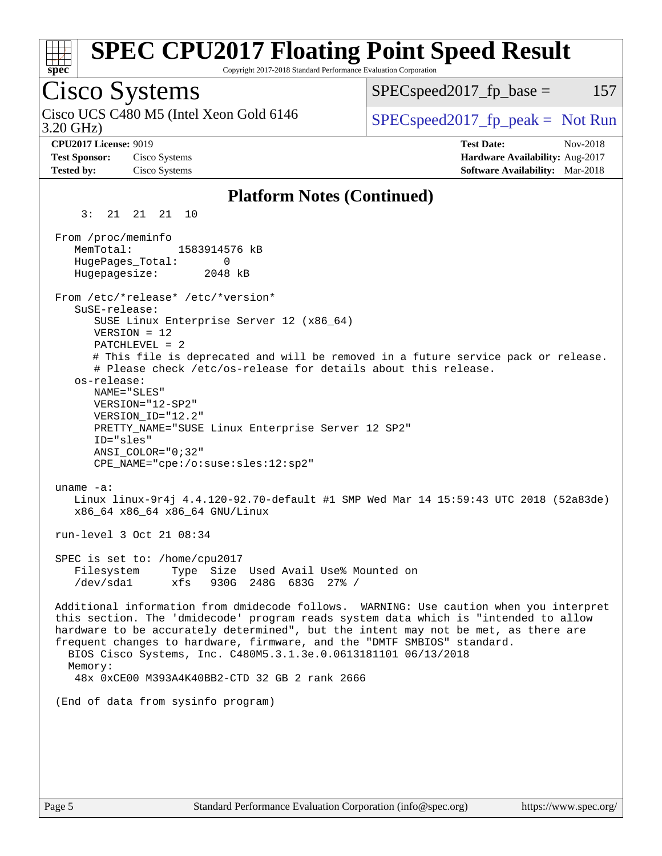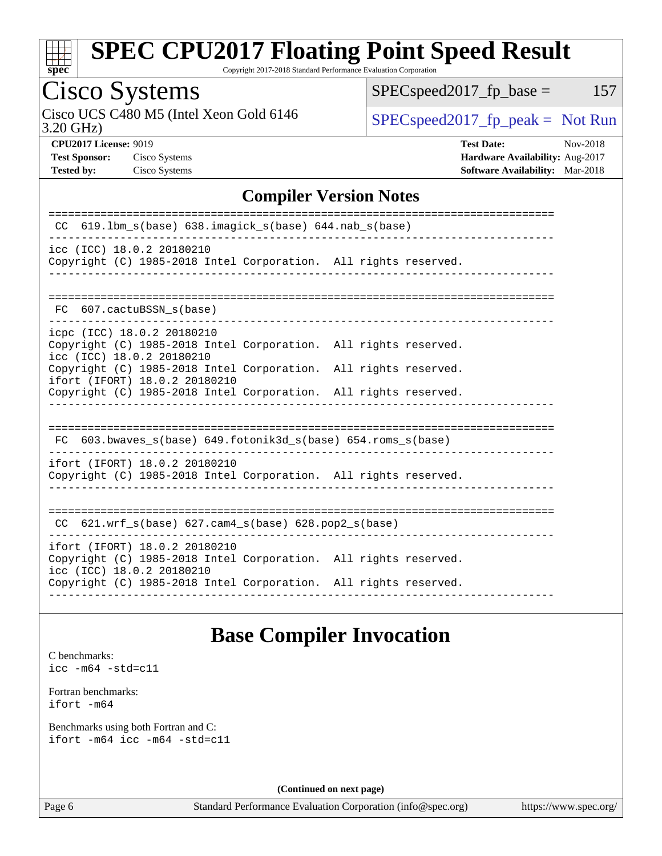

Copyright 2017-2018 Standard Performance Evaluation Corporation

# Cisco Systems

3.20 GHz) Cisco UCS C480 M5 (Intel Xeon Gold 6146  $\big|$  [SPECspeed2017\\_fp\\_peak =](http://www.spec.org/auto/cpu2017/Docs/result-fields.html#SPECspeed2017fppeak) Not Run

 $SPEC speed2017_fp\_base = 157$ 

**[CPU2017 License:](http://www.spec.org/auto/cpu2017/Docs/result-fields.html#CPU2017License)** 9019 **[Test Date:](http://www.spec.org/auto/cpu2017/Docs/result-fields.html#TestDate)** Nov-2018 **[Test Sponsor:](http://www.spec.org/auto/cpu2017/Docs/result-fields.html#TestSponsor)** Cisco Systems **[Hardware Availability:](http://www.spec.org/auto/cpu2017/Docs/result-fields.html#HardwareAvailability)** Aug-2017 **[Tested by:](http://www.spec.org/auto/cpu2017/Docs/result-fields.html#Testedby)** Cisco Systems **[Software Availability:](http://www.spec.org/auto/cpu2017/Docs/result-fields.html#SoftwareAvailability)** Mar-2018

### **[Compiler Version Notes](http://www.spec.org/auto/cpu2017/Docs/result-fields.html#CompilerVersionNotes)**

| $619.1$ bm_s(base) $638.imagick_s(base)$ $644.nab_s(base)$<br>CC.                                                                                                                                |  |  |
|--------------------------------------------------------------------------------------------------------------------------------------------------------------------------------------------------|--|--|
| icc (ICC) 18.0.2 20180210<br>Copyright (C) 1985-2018 Intel Corporation. All rights reserved.                                                                                                     |  |  |
| FC 607.cactuBSSN s(base)                                                                                                                                                                         |  |  |
| icpc (ICC) 18.0.2 20180210<br>Copyright (C) 1985-2018 Intel Corporation. All rights reserved.<br>icc (ICC) 18.0.2 20180210                                                                       |  |  |
| Copyright (C) 1985-2018 Intel Corporation. All rights reserved.<br>ifort (IFORT) 18.0.2 20180210<br>Copyright (C) 1985-2018 Intel Corporation. All rights reserved.                              |  |  |
|                                                                                                                                                                                                  |  |  |
| FC $603.bwaves$ s(base) $649.fotonik3d$ s(base) $654.roms$ s(base)<br>ifort (IFORT) 18.0.2 20180210                                                                                              |  |  |
| Copyright (C) 1985-2018 Intel Corporation. All rights reserved.                                                                                                                                  |  |  |
| CC 621.wrf_s(base) 627.cam4_s(base) 628.pop2_s(base)                                                                                                                                             |  |  |
| ifort (IFORT) 18.0.2 20180210<br>Copyright (C) 1985-2018 Intel Corporation. All rights reserved.<br>icc (ICC) 18.0.2 20180210<br>Copyright (C) 1985-2018 Intel Corporation. All rights reserved. |  |  |
|                                                                                                                                                                                                  |  |  |

### **[Base Compiler Invocation](http://www.spec.org/auto/cpu2017/Docs/result-fields.html#BaseCompilerInvocation)**

[C benchmarks](http://www.spec.org/auto/cpu2017/Docs/result-fields.html#Cbenchmarks): [icc -m64 -std=c11](http://www.spec.org/cpu2017/results/res2018q4/cpu2017-20181211-10303.flags.html#user_CCbase_intel_icc_64bit_c11_33ee0cdaae7deeeab2a9725423ba97205ce30f63b9926c2519791662299b76a0318f32ddfffdc46587804de3178b4f9328c46fa7c2b0cd779d7a61945c91cd35)

[Fortran benchmarks](http://www.spec.org/auto/cpu2017/Docs/result-fields.html#Fortranbenchmarks): [ifort -m64](http://www.spec.org/cpu2017/results/res2018q4/cpu2017-20181211-10303.flags.html#user_FCbase_intel_ifort_64bit_24f2bb282fbaeffd6157abe4f878425411749daecae9a33200eee2bee2fe76f3b89351d69a8130dd5949958ce389cf37ff59a95e7a40d588e8d3a57e0c3fd751)

[Benchmarks using both Fortran and C](http://www.spec.org/auto/cpu2017/Docs/result-fields.html#BenchmarksusingbothFortranandC): [ifort -m64](http://www.spec.org/cpu2017/results/res2018q4/cpu2017-20181211-10303.flags.html#user_CC_FCbase_intel_ifort_64bit_24f2bb282fbaeffd6157abe4f878425411749daecae9a33200eee2bee2fe76f3b89351d69a8130dd5949958ce389cf37ff59a95e7a40d588e8d3a57e0c3fd751) [icc -m64 -std=c11](http://www.spec.org/cpu2017/results/res2018q4/cpu2017-20181211-10303.flags.html#user_CC_FCbase_intel_icc_64bit_c11_33ee0cdaae7deeeab2a9725423ba97205ce30f63b9926c2519791662299b76a0318f32ddfffdc46587804de3178b4f9328c46fa7c2b0cd779d7a61945c91cd35)

**(Continued on next page)**

Page 6 Standard Performance Evaluation Corporation [\(info@spec.org\)](mailto:info@spec.org) <https://www.spec.org/>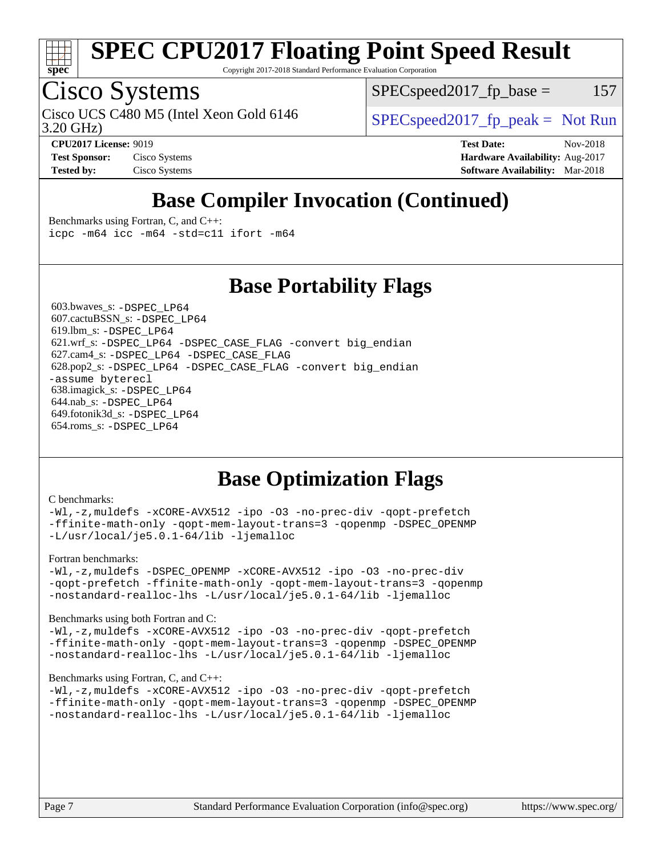

Copyright 2017-2018 Standard Performance Evaluation Corporation

### Cisco Systems

Cisco UCS C480 M5 (Intel Xeon Gold 6146  $\vert$  [SPECspeed2017\\_fp\\_peak =](http://www.spec.org/auto/cpu2017/Docs/result-fields.html#SPECspeed2017fppeak) Not Run

 $SPEC speed2017_fp\_base = 157$ 

3.20 GHz)

**[Test Sponsor:](http://www.spec.org/auto/cpu2017/Docs/result-fields.html#TestSponsor)** Cisco Systems **[Hardware Availability:](http://www.spec.org/auto/cpu2017/Docs/result-fields.html#HardwareAvailability)** Aug-2017 **[Tested by:](http://www.spec.org/auto/cpu2017/Docs/result-fields.html#Testedby)** Cisco Systems **[Software Availability:](http://www.spec.org/auto/cpu2017/Docs/result-fields.html#SoftwareAvailability)** Mar-2018

**[CPU2017 License:](http://www.spec.org/auto/cpu2017/Docs/result-fields.html#CPU2017License)** 9019 **[Test Date:](http://www.spec.org/auto/cpu2017/Docs/result-fields.html#TestDate)** Nov-2018

### **[Base Compiler Invocation \(Continued\)](http://www.spec.org/auto/cpu2017/Docs/result-fields.html#BaseCompilerInvocation)**

[Benchmarks using Fortran, C, and C++:](http://www.spec.org/auto/cpu2017/Docs/result-fields.html#BenchmarksusingFortranCandCXX)

[icpc -m64](http://www.spec.org/cpu2017/results/res2018q4/cpu2017-20181211-10303.flags.html#user_CC_CXX_FCbase_intel_icpc_64bit_4ecb2543ae3f1412ef961e0650ca070fec7b7afdcd6ed48761b84423119d1bf6bdf5cad15b44d48e7256388bc77273b966e5eb805aefd121eb22e9299b2ec9d9) [icc -m64 -std=c11](http://www.spec.org/cpu2017/results/res2018q4/cpu2017-20181211-10303.flags.html#user_CC_CXX_FCbase_intel_icc_64bit_c11_33ee0cdaae7deeeab2a9725423ba97205ce30f63b9926c2519791662299b76a0318f32ddfffdc46587804de3178b4f9328c46fa7c2b0cd779d7a61945c91cd35) [ifort -m64](http://www.spec.org/cpu2017/results/res2018q4/cpu2017-20181211-10303.flags.html#user_CC_CXX_FCbase_intel_ifort_64bit_24f2bb282fbaeffd6157abe4f878425411749daecae9a33200eee2bee2fe76f3b89351d69a8130dd5949958ce389cf37ff59a95e7a40d588e8d3a57e0c3fd751)

### **[Base Portability Flags](http://www.spec.org/auto/cpu2017/Docs/result-fields.html#BasePortabilityFlags)**

 603.bwaves\_s: [-DSPEC\\_LP64](http://www.spec.org/cpu2017/results/res2018q4/cpu2017-20181211-10303.flags.html#suite_basePORTABILITY603_bwaves_s_DSPEC_LP64) 607.cactuBSSN\_s: [-DSPEC\\_LP64](http://www.spec.org/cpu2017/results/res2018q4/cpu2017-20181211-10303.flags.html#suite_basePORTABILITY607_cactuBSSN_s_DSPEC_LP64) 619.lbm\_s: [-DSPEC\\_LP64](http://www.spec.org/cpu2017/results/res2018q4/cpu2017-20181211-10303.flags.html#suite_basePORTABILITY619_lbm_s_DSPEC_LP64) 621.wrf\_s: [-DSPEC\\_LP64](http://www.spec.org/cpu2017/results/res2018q4/cpu2017-20181211-10303.flags.html#suite_basePORTABILITY621_wrf_s_DSPEC_LP64) [-DSPEC\\_CASE\\_FLAG](http://www.spec.org/cpu2017/results/res2018q4/cpu2017-20181211-10303.flags.html#b621.wrf_s_baseCPORTABILITY_DSPEC_CASE_FLAG) [-convert big\\_endian](http://www.spec.org/cpu2017/results/res2018q4/cpu2017-20181211-10303.flags.html#user_baseFPORTABILITY621_wrf_s_convert_big_endian_c3194028bc08c63ac5d04de18c48ce6d347e4e562e8892b8bdbdc0214820426deb8554edfa529a3fb25a586e65a3d812c835984020483e7e73212c4d31a38223) 627.cam4\_s: [-DSPEC\\_LP64](http://www.spec.org/cpu2017/results/res2018q4/cpu2017-20181211-10303.flags.html#suite_basePORTABILITY627_cam4_s_DSPEC_LP64) [-DSPEC\\_CASE\\_FLAG](http://www.spec.org/cpu2017/results/res2018q4/cpu2017-20181211-10303.flags.html#b627.cam4_s_baseCPORTABILITY_DSPEC_CASE_FLAG) 628.pop2\_s: [-DSPEC\\_LP64](http://www.spec.org/cpu2017/results/res2018q4/cpu2017-20181211-10303.flags.html#suite_basePORTABILITY628_pop2_s_DSPEC_LP64) [-DSPEC\\_CASE\\_FLAG](http://www.spec.org/cpu2017/results/res2018q4/cpu2017-20181211-10303.flags.html#b628.pop2_s_baseCPORTABILITY_DSPEC_CASE_FLAG) [-convert big\\_endian](http://www.spec.org/cpu2017/results/res2018q4/cpu2017-20181211-10303.flags.html#user_baseFPORTABILITY628_pop2_s_convert_big_endian_c3194028bc08c63ac5d04de18c48ce6d347e4e562e8892b8bdbdc0214820426deb8554edfa529a3fb25a586e65a3d812c835984020483e7e73212c4d31a38223) [-assume byterecl](http://www.spec.org/cpu2017/results/res2018q4/cpu2017-20181211-10303.flags.html#user_baseFPORTABILITY628_pop2_s_assume_byterecl_7e47d18b9513cf18525430bbf0f2177aa9bf368bc7a059c09b2c06a34b53bd3447c950d3f8d6c70e3faf3a05c8557d66a5798b567902e8849adc142926523472) 638.imagick\_s: [-DSPEC\\_LP64](http://www.spec.org/cpu2017/results/res2018q4/cpu2017-20181211-10303.flags.html#suite_basePORTABILITY638_imagick_s_DSPEC_LP64) 644.nab\_s: [-DSPEC\\_LP64](http://www.spec.org/cpu2017/results/res2018q4/cpu2017-20181211-10303.flags.html#suite_basePORTABILITY644_nab_s_DSPEC_LP64) 649.fotonik3d\_s: [-DSPEC\\_LP64](http://www.spec.org/cpu2017/results/res2018q4/cpu2017-20181211-10303.flags.html#suite_basePORTABILITY649_fotonik3d_s_DSPEC_LP64) 654.roms\_s: [-DSPEC\\_LP64](http://www.spec.org/cpu2017/results/res2018q4/cpu2017-20181211-10303.flags.html#suite_basePORTABILITY654_roms_s_DSPEC_LP64)

### **[Base Optimization Flags](http://www.spec.org/auto/cpu2017/Docs/result-fields.html#BaseOptimizationFlags)**

#### [C benchmarks](http://www.spec.org/auto/cpu2017/Docs/result-fields.html#Cbenchmarks):

[-Wl,-z,muldefs](http://www.spec.org/cpu2017/results/res2018q4/cpu2017-20181211-10303.flags.html#user_CCbase_link_force_multiple1_b4cbdb97b34bdee9ceefcfe54f4c8ea74255f0b02a4b23e853cdb0e18eb4525ac79b5a88067c842dd0ee6996c24547a27a4b99331201badda8798ef8a743f577) [-xCORE-AVX512](http://www.spec.org/cpu2017/results/res2018q4/cpu2017-20181211-10303.flags.html#user_CCbase_f-xCORE-AVX512) [-ipo](http://www.spec.org/cpu2017/results/res2018q4/cpu2017-20181211-10303.flags.html#user_CCbase_f-ipo) [-O3](http://www.spec.org/cpu2017/results/res2018q4/cpu2017-20181211-10303.flags.html#user_CCbase_f-O3) [-no-prec-div](http://www.spec.org/cpu2017/results/res2018q4/cpu2017-20181211-10303.flags.html#user_CCbase_f-no-prec-div) [-qopt-prefetch](http://www.spec.org/cpu2017/results/res2018q4/cpu2017-20181211-10303.flags.html#user_CCbase_f-qopt-prefetch) [-ffinite-math-only](http://www.spec.org/cpu2017/results/res2018q4/cpu2017-20181211-10303.flags.html#user_CCbase_f_finite_math_only_cb91587bd2077682c4b38af759c288ed7c732db004271a9512da14a4f8007909a5f1427ecbf1a0fb78ff2a814402c6114ac565ca162485bbcae155b5e4258871) [-qopt-mem-layout-trans=3](http://www.spec.org/cpu2017/results/res2018q4/cpu2017-20181211-10303.flags.html#user_CCbase_f-qopt-mem-layout-trans_de80db37974c74b1f0e20d883f0b675c88c3b01e9d123adea9b28688d64333345fb62bc4a798493513fdb68f60282f9a726aa07f478b2f7113531aecce732043) [-qopenmp](http://www.spec.org/cpu2017/results/res2018q4/cpu2017-20181211-10303.flags.html#user_CCbase_qopenmp_16be0c44f24f464004c6784a7acb94aca937f053568ce72f94b139a11c7c168634a55f6653758ddd83bcf7b8463e8028bb0b48b77bcddc6b78d5d95bb1df2967) [-DSPEC\\_OPENMP](http://www.spec.org/cpu2017/results/res2018q4/cpu2017-20181211-10303.flags.html#suite_CCbase_DSPEC_OPENMP) [-L/usr/local/je5.0.1-64/lib](http://www.spec.org/cpu2017/results/res2018q4/cpu2017-20181211-10303.flags.html#user_CCbase_jemalloc_link_path64_4b10a636b7bce113509b17f3bd0d6226c5fb2346b9178c2d0232c14f04ab830f976640479e5c33dc2bcbbdad86ecfb6634cbbd4418746f06f368b512fced5394) [-ljemalloc](http://www.spec.org/cpu2017/results/res2018q4/cpu2017-20181211-10303.flags.html#user_CCbase_jemalloc_link_lib_d1249b907c500fa1c0672f44f562e3d0f79738ae9e3c4a9c376d49f265a04b9c99b167ecedbf6711b3085be911c67ff61f150a17b3472be731631ba4d0471706)

#### [Fortran benchmarks](http://www.spec.org/auto/cpu2017/Docs/result-fields.html#Fortranbenchmarks):

[-Wl,-z,muldefs](http://www.spec.org/cpu2017/results/res2018q4/cpu2017-20181211-10303.flags.html#user_FCbase_link_force_multiple1_b4cbdb97b34bdee9ceefcfe54f4c8ea74255f0b02a4b23e853cdb0e18eb4525ac79b5a88067c842dd0ee6996c24547a27a4b99331201badda8798ef8a743f577) [-DSPEC\\_OPENMP](http://www.spec.org/cpu2017/results/res2018q4/cpu2017-20181211-10303.flags.html#suite_FCbase_DSPEC_OPENMP) [-xCORE-AVX512](http://www.spec.org/cpu2017/results/res2018q4/cpu2017-20181211-10303.flags.html#user_FCbase_f-xCORE-AVX512) [-ipo](http://www.spec.org/cpu2017/results/res2018q4/cpu2017-20181211-10303.flags.html#user_FCbase_f-ipo) [-O3](http://www.spec.org/cpu2017/results/res2018q4/cpu2017-20181211-10303.flags.html#user_FCbase_f-O3) [-no-prec-div](http://www.spec.org/cpu2017/results/res2018q4/cpu2017-20181211-10303.flags.html#user_FCbase_f-no-prec-div) [-qopt-prefetch](http://www.spec.org/cpu2017/results/res2018q4/cpu2017-20181211-10303.flags.html#user_FCbase_f-qopt-prefetch) [-ffinite-math-only](http://www.spec.org/cpu2017/results/res2018q4/cpu2017-20181211-10303.flags.html#user_FCbase_f_finite_math_only_cb91587bd2077682c4b38af759c288ed7c732db004271a9512da14a4f8007909a5f1427ecbf1a0fb78ff2a814402c6114ac565ca162485bbcae155b5e4258871) [-qopt-mem-layout-trans=3](http://www.spec.org/cpu2017/results/res2018q4/cpu2017-20181211-10303.flags.html#user_FCbase_f-qopt-mem-layout-trans_de80db37974c74b1f0e20d883f0b675c88c3b01e9d123adea9b28688d64333345fb62bc4a798493513fdb68f60282f9a726aa07f478b2f7113531aecce732043) [-qopenmp](http://www.spec.org/cpu2017/results/res2018q4/cpu2017-20181211-10303.flags.html#user_FCbase_qopenmp_16be0c44f24f464004c6784a7acb94aca937f053568ce72f94b139a11c7c168634a55f6653758ddd83bcf7b8463e8028bb0b48b77bcddc6b78d5d95bb1df2967) [-nostandard-realloc-lhs](http://www.spec.org/cpu2017/results/res2018q4/cpu2017-20181211-10303.flags.html#user_FCbase_f_2003_std_realloc_82b4557e90729c0f113870c07e44d33d6f5a304b4f63d4c15d2d0f1fab99f5daaed73bdb9275d9ae411527f28b936061aa8b9c8f2d63842963b95c9dd6426b8a) [-L/usr/local/je5.0.1-64/lib](http://www.spec.org/cpu2017/results/res2018q4/cpu2017-20181211-10303.flags.html#user_FCbase_jemalloc_link_path64_4b10a636b7bce113509b17f3bd0d6226c5fb2346b9178c2d0232c14f04ab830f976640479e5c33dc2bcbbdad86ecfb6634cbbd4418746f06f368b512fced5394) [-ljemalloc](http://www.spec.org/cpu2017/results/res2018q4/cpu2017-20181211-10303.flags.html#user_FCbase_jemalloc_link_lib_d1249b907c500fa1c0672f44f562e3d0f79738ae9e3c4a9c376d49f265a04b9c99b167ecedbf6711b3085be911c67ff61f150a17b3472be731631ba4d0471706)

#### [Benchmarks using both Fortran and C](http://www.spec.org/auto/cpu2017/Docs/result-fields.html#BenchmarksusingbothFortranandC):

[-Wl,-z,muldefs](http://www.spec.org/cpu2017/results/res2018q4/cpu2017-20181211-10303.flags.html#user_CC_FCbase_link_force_multiple1_b4cbdb97b34bdee9ceefcfe54f4c8ea74255f0b02a4b23e853cdb0e18eb4525ac79b5a88067c842dd0ee6996c24547a27a4b99331201badda8798ef8a743f577) [-xCORE-AVX512](http://www.spec.org/cpu2017/results/res2018q4/cpu2017-20181211-10303.flags.html#user_CC_FCbase_f-xCORE-AVX512) [-ipo](http://www.spec.org/cpu2017/results/res2018q4/cpu2017-20181211-10303.flags.html#user_CC_FCbase_f-ipo) [-O3](http://www.spec.org/cpu2017/results/res2018q4/cpu2017-20181211-10303.flags.html#user_CC_FCbase_f-O3) [-no-prec-div](http://www.spec.org/cpu2017/results/res2018q4/cpu2017-20181211-10303.flags.html#user_CC_FCbase_f-no-prec-div) [-qopt-prefetch](http://www.spec.org/cpu2017/results/res2018q4/cpu2017-20181211-10303.flags.html#user_CC_FCbase_f-qopt-prefetch) [-ffinite-math-only](http://www.spec.org/cpu2017/results/res2018q4/cpu2017-20181211-10303.flags.html#user_CC_FCbase_f_finite_math_only_cb91587bd2077682c4b38af759c288ed7c732db004271a9512da14a4f8007909a5f1427ecbf1a0fb78ff2a814402c6114ac565ca162485bbcae155b5e4258871) [-qopt-mem-layout-trans=3](http://www.spec.org/cpu2017/results/res2018q4/cpu2017-20181211-10303.flags.html#user_CC_FCbase_f-qopt-mem-layout-trans_de80db37974c74b1f0e20d883f0b675c88c3b01e9d123adea9b28688d64333345fb62bc4a798493513fdb68f60282f9a726aa07f478b2f7113531aecce732043) [-qopenmp](http://www.spec.org/cpu2017/results/res2018q4/cpu2017-20181211-10303.flags.html#user_CC_FCbase_qopenmp_16be0c44f24f464004c6784a7acb94aca937f053568ce72f94b139a11c7c168634a55f6653758ddd83bcf7b8463e8028bb0b48b77bcddc6b78d5d95bb1df2967) [-DSPEC\\_OPENMP](http://www.spec.org/cpu2017/results/res2018q4/cpu2017-20181211-10303.flags.html#suite_CC_FCbase_DSPEC_OPENMP) [-nostandard-realloc-lhs](http://www.spec.org/cpu2017/results/res2018q4/cpu2017-20181211-10303.flags.html#user_CC_FCbase_f_2003_std_realloc_82b4557e90729c0f113870c07e44d33d6f5a304b4f63d4c15d2d0f1fab99f5daaed73bdb9275d9ae411527f28b936061aa8b9c8f2d63842963b95c9dd6426b8a) [-L/usr/local/je5.0.1-64/lib](http://www.spec.org/cpu2017/results/res2018q4/cpu2017-20181211-10303.flags.html#user_CC_FCbase_jemalloc_link_path64_4b10a636b7bce113509b17f3bd0d6226c5fb2346b9178c2d0232c14f04ab830f976640479e5c33dc2bcbbdad86ecfb6634cbbd4418746f06f368b512fced5394) [-ljemalloc](http://www.spec.org/cpu2017/results/res2018q4/cpu2017-20181211-10303.flags.html#user_CC_FCbase_jemalloc_link_lib_d1249b907c500fa1c0672f44f562e3d0f79738ae9e3c4a9c376d49f265a04b9c99b167ecedbf6711b3085be911c67ff61f150a17b3472be731631ba4d0471706)

#### [Benchmarks using Fortran, C, and C++:](http://www.spec.org/auto/cpu2017/Docs/result-fields.html#BenchmarksusingFortranCandCXX)

[-Wl,-z,muldefs](http://www.spec.org/cpu2017/results/res2018q4/cpu2017-20181211-10303.flags.html#user_CC_CXX_FCbase_link_force_multiple1_b4cbdb97b34bdee9ceefcfe54f4c8ea74255f0b02a4b23e853cdb0e18eb4525ac79b5a88067c842dd0ee6996c24547a27a4b99331201badda8798ef8a743f577) [-xCORE-AVX512](http://www.spec.org/cpu2017/results/res2018q4/cpu2017-20181211-10303.flags.html#user_CC_CXX_FCbase_f-xCORE-AVX512) [-ipo](http://www.spec.org/cpu2017/results/res2018q4/cpu2017-20181211-10303.flags.html#user_CC_CXX_FCbase_f-ipo) [-O3](http://www.spec.org/cpu2017/results/res2018q4/cpu2017-20181211-10303.flags.html#user_CC_CXX_FCbase_f-O3) [-no-prec-div](http://www.spec.org/cpu2017/results/res2018q4/cpu2017-20181211-10303.flags.html#user_CC_CXX_FCbase_f-no-prec-div) [-qopt-prefetch](http://www.spec.org/cpu2017/results/res2018q4/cpu2017-20181211-10303.flags.html#user_CC_CXX_FCbase_f-qopt-prefetch) [-ffinite-math-only](http://www.spec.org/cpu2017/results/res2018q4/cpu2017-20181211-10303.flags.html#user_CC_CXX_FCbase_f_finite_math_only_cb91587bd2077682c4b38af759c288ed7c732db004271a9512da14a4f8007909a5f1427ecbf1a0fb78ff2a814402c6114ac565ca162485bbcae155b5e4258871) [-qopt-mem-layout-trans=3](http://www.spec.org/cpu2017/results/res2018q4/cpu2017-20181211-10303.flags.html#user_CC_CXX_FCbase_f-qopt-mem-layout-trans_de80db37974c74b1f0e20d883f0b675c88c3b01e9d123adea9b28688d64333345fb62bc4a798493513fdb68f60282f9a726aa07f478b2f7113531aecce732043) [-qopenmp](http://www.spec.org/cpu2017/results/res2018q4/cpu2017-20181211-10303.flags.html#user_CC_CXX_FCbase_qopenmp_16be0c44f24f464004c6784a7acb94aca937f053568ce72f94b139a11c7c168634a55f6653758ddd83bcf7b8463e8028bb0b48b77bcddc6b78d5d95bb1df2967) [-DSPEC\\_OPENMP](http://www.spec.org/cpu2017/results/res2018q4/cpu2017-20181211-10303.flags.html#suite_CC_CXX_FCbase_DSPEC_OPENMP) [-nostandard-realloc-lhs](http://www.spec.org/cpu2017/results/res2018q4/cpu2017-20181211-10303.flags.html#user_CC_CXX_FCbase_f_2003_std_realloc_82b4557e90729c0f113870c07e44d33d6f5a304b4f63d4c15d2d0f1fab99f5daaed73bdb9275d9ae411527f28b936061aa8b9c8f2d63842963b95c9dd6426b8a) [-L/usr/local/je5.0.1-64/lib](http://www.spec.org/cpu2017/results/res2018q4/cpu2017-20181211-10303.flags.html#user_CC_CXX_FCbase_jemalloc_link_path64_4b10a636b7bce113509b17f3bd0d6226c5fb2346b9178c2d0232c14f04ab830f976640479e5c33dc2bcbbdad86ecfb6634cbbd4418746f06f368b512fced5394) [-ljemalloc](http://www.spec.org/cpu2017/results/res2018q4/cpu2017-20181211-10303.flags.html#user_CC_CXX_FCbase_jemalloc_link_lib_d1249b907c500fa1c0672f44f562e3d0f79738ae9e3c4a9c376d49f265a04b9c99b167ecedbf6711b3085be911c67ff61f150a17b3472be731631ba4d0471706)